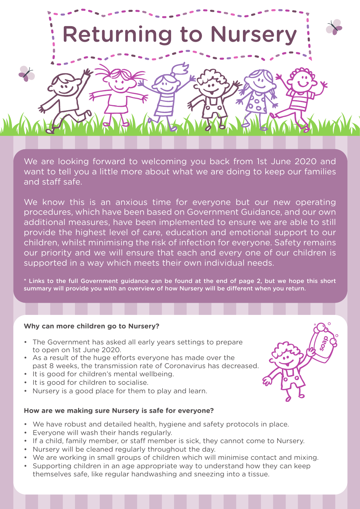

We are looking forward to welcoming you back from 1st June 2020 and want to tell you a little more about what we are doing to keep our families and staff safe.

We know this is an anxious time for everyone but our new operating procedures, which have been based on Government Guidance, and our own additional measures, have been implemented to ensure we are able to still provide the highest level of care, education and emotional support to our children, whilst minimising the risk of infection for everyone. Safety remains our priority and we will ensure that each and every one of our children is supported in a way which meets their own individual needs.

\* Links to the full Government guidance can be found at the end of page 2, but we hope this short summary will provide you with an overview of how Nursery will be different when you return.

**soap**

### **Why can more children go to Nursery?**

- The Government has asked all early years settings to prepare to open on 1st June 2020.
- As a result of the huge efforts everyone has made over the past 8 weeks, the transmission rate of Coronavirus has decreased.
- It is good for children's mental wellbeing.
- It is good for children to socialise.
- Nursery is a good place for them to play and learn.

### **How are we making sure Nursery is safe for everyone?**

- We have robust and detailed health, hygiene and safety protocols in place.
- Everyone will wash their hands regularly.
- If a child, family member, or staff member is sick, they cannot come to Nursery.
- Nursery will be cleaned regularly throughout the day.
- We are working in small groups of children which will minimise contact and mixing.
- Supporting children in an age appropriate way to understand how they can keep themselves safe, like regular handwashing and sneezing into a tissue.